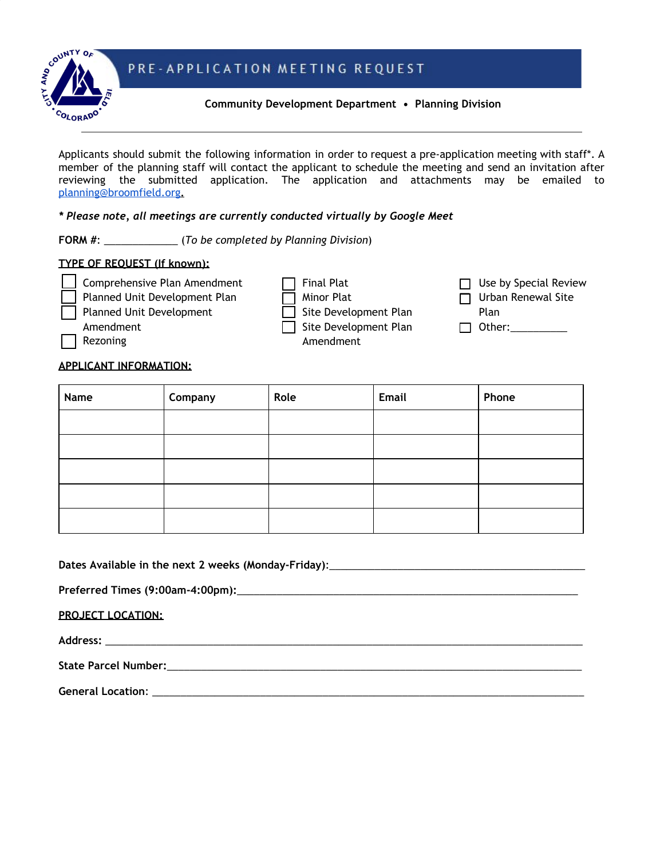# PRE-APPLICATION MEETING REQUEST



### **Community Development Department • Planning Division**

Applicants should submit the following information in order to request a pre-application meeting with staff\*. A member of the planning staff will contact the applicant to schedule the meeting and send an invitation after reviewing the submitted application. The application and attachments may be emailed to [planning@broomfield.org](mailto:planning@broomfield.org)**.**

### *\* Please note, all meetings are currently conducted virtually by Google Meet*

**FORM #**: \_\_\_\_\_\_\_\_\_\_\_\_\_ (*To be completed by Planning Division*)

### **TYPE OF REQUEST (If known):**

⬜ Comprehensive Plan Amendment Planned Unit Development Plan ⬜ Planned Unit Development Amendment ⬜ Rezoning

 $\Box$  Final Plat **Minor Plat** □ Site Development Plan

⬜ Site Development Plan Amendment

 $\Box$  Use by Special Review

□ Urban Renewal Site

Plan

 $\Box$  Other:

### **APPLICANT INFORMATION:**

| Name | Company | Role | Email | Phone |
|------|---------|------|-------|-------|
|      |         |      |       |       |
|      |         |      |       |       |
|      |         |      |       |       |
|      |         |      |       |       |
|      |         |      |       |       |

**Dates Available in the next 2 weeks (Monday-Friday)**:\_\_\_\_\_\_\_\_\_\_\_\_\_\_\_\_\_\_\_\_\_\_\_\_\_\_\_\_\_\_\_\_\_\_\_\_\_\_\_\_\_\_\_\_\_

**Preferred Times (9:00am-4:00pm):**\_\_\_\_\_\_\_\_\_\_\_\_\_\_\_\_\_\_\_\_\_\_\_\_\_\_\_\_\_\_\_\_\_\_\_\_\_\_\_\_\_\_\_\_\_\_\_\_\_\_\_\_\_\_\_\_\_\_\_\_

**PROJECT LOCATION:**

**Address:** \_\_\_\_\_\_\_\_\_\_\_\_\_\_\_\_\_\_\_\_\_\_\_\_\_\_\_\_\_\_\_\_\_\_\_\_\_\_\_\_\_\_\_\_\_\_\_\_\_\_\_\_\_\_\_\_\_\_\_\_\_\_\_\_\_\_\_\_\_\_\_\_\_\_\_\_\_\_\_\_\_\_\_\_

**State Parcel Number:**\_\_\_\_\_\_\_\_\_\_\_\_\_\_\_\_\_\_\_\_\_\_\_\_\_\_\_\_\_\_\_\_\_\_\_\_\_\_\_\_\_\_\_\_\_\_\_\_\_\_\_\_\_\_\_\_\_\_\_\_\_\_\_\_\_\_\_\_\_\_\_\_\_

**General Location**: \_\_\_\_\_\_\_\_\_\_\_\_\_\_\_\_\_\_\_\_\_\_\_\_\_\_\_\_\_\_\_\_\_\_\_\_\_\_\_\_\_\_\_\_\_\_\_\_\_\_\_\_\_\_\_\_\_\_\_\_\_\_\_\_\_\_\_\_\_\_\_\_\_\_\_\_